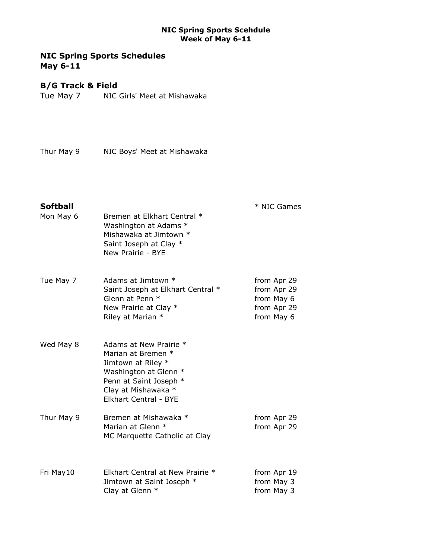# NIC Spring Sports Schedules May 6-11

## B/G Track & Field

Tue May 7 NIC Girls' Meet at Mishawaka

Thur May 9 NIC Boys' Meet at Mishawaka

Softball  $*$  NIC Games

| Mon May 6  | Bremen at Elkhart Central *<br>Washington at Adams *<br>Mishawaka at Jimtown *<br>Saint Joseph at Clay *<br>New Prairie - BYE                                         |                                                                       |
|------------|-----------------------------------------------------------------------------------------------------------------------------------------------------------------------|-----------------------------------------------------------------------|
| Tue May 7  | Adams at Jimtown *<br>Saint Joseph at Elkhart Central *<br>Glenn at Penn *<br>New Prairie at Clay *<br>Riley at Marian *                                              | from Apr 29<br>from Apr 29<br>from May 6<br>from Apr 29<br>from May 6 |
| Wed May 8  | Adams at New Prairie *<br>Marian at Bremen *<br>Jimtown at Riley *<br>Washington at Glenn *<br>Penn at Saint Joseph *<br>Clay at Mishawaka *<br>Elkhart Central - BYE |                                                                       |
| Thur May 9 | Bremen at Mishawaka *<br>Marian at Glenn *<br>MC Marquette Catholic at Clay                                                                                           | from Apr 29<br>from Apr 29                                            |
| Fri May10  | Elkhart Central at New Prairie *<br>Jimtown at Saint Joseph *<br>Clay at Glenn *                                                                                      | from Apr 19<br>from May 3<br>from May 3                               |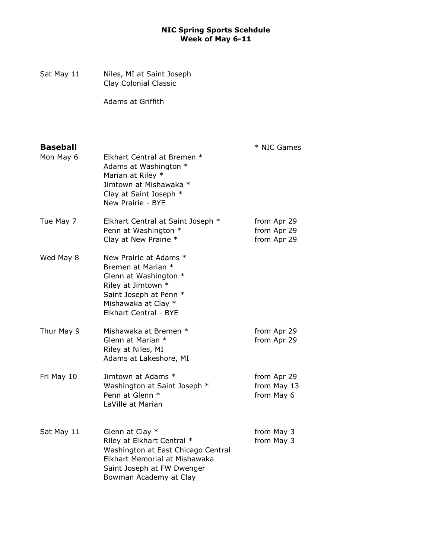Sat May 11 Niles, MI at Saint Joseph Clay Colonial Classic

Adams at Griffith

| <b>Baseball</b><br>Mon May 6 | Elkhart Central at Bremen *<br>Adams at Washington *<br>Marian at Riley *<br>Jimtown at Mishawaka *<br>Clay at Saint Joseph *<br>New Prairie - BYE                           | * NIC Games                               |
|------------------------------|------------------------------------------------------------------------------------------------------------------------------------------------------------------------------|-------------------------------------------|
| Tue May 7                    | Elkhart Central at Saint Joseph *<br>Penn at Washington *<br>Clay at New Prairie *                                                                                           | from Apr 29<br>from Apr 29<br>from Apr 29 |
| Wed May 8                    | New Prairie at Adams *<br>Bremen at Marian *<br>Glenn at Washington *<br>Riley at Jimtown *<br>Saint Joseph at Penn *<br>Mishawaka at Clay *<br><b>Elkhart Central - BYE</b> |                                           |
| Thur May 9                   | Mishawaka at Bremen *<br>Glenn at Marian *<br>Riley at Niles, MI<br>Adams at Lakeshore, MI                                                                                   | from Apr 29<br>from Apr 29                |
| Fri May 10                   | Jimtown at Adams *<br>Washington at Saint Joseph *<br>Penn at Glenn *<br>LaVille at Marian                                                                                   | from Apr 29<br>from May 13<br>from May 6  |
| Sat May 11                   | Glenn at Clay *<br>Riley at Elkhart Central *<br>Washington at East Chicago Central<br>Elkhart Memorial at Mishawaka<br>Saint Joseph at FW Dwenger<br>Bowman Academy at Clay | from May 3<br>from May 3                  |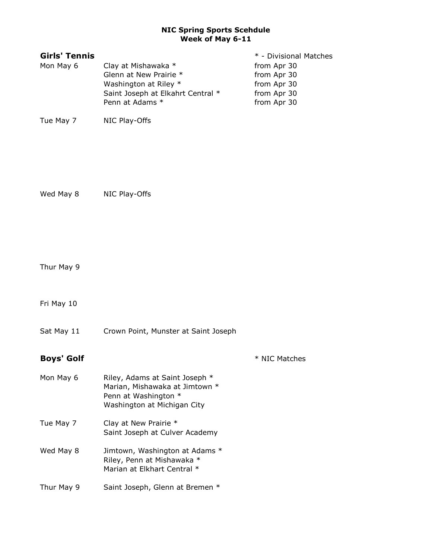| <b>Girls' Tennis</b> |                                   | * - Divisional Matches |
|----------------------|-----------------------------------|------------------------|
| Mon May 6            | Clay at Mishawaka *               | from Apr 30            |
|                      | Glenn at New Prairie *            | from Apr 30            |
|                      | Washington at Riley *             | from Apr 30            |
|                      | Saint Joseph at Elkahrt Central * | from Apr 30            |
|                      | Penn at Adams *                   | from Apr 30            |
| Tue May 7            | NIC Play-Offs                     |                        |

Wed May 8 NIC Play-Offs

Thur May 9

Fri May 10

Sat May 11 Crown Point, Munster at Saint Joseph

Boys' Golf  $*$  NIC Matches

| Mon May 6  | Riley, Adams at Saint Joseph *<br>Marian, Mishawaka at Jimtown *<br>Penn at Washington *<br>Washington at Michigan City |
|------------|-------------------------------------------------------------------------------------------------------------------------|
| Tue May 7  | Clay at New Prairie *<br>Saint Joseph at Culver Academy                                                                 |
| Wed May 8  | Jimtown, Washington at Adams *<br>Riley, Penn at Mishawaka *<br>Marian at Elkhart Central *                             |
| Thur May 9 | Saint Joseph, Glenn at Bremen *                                                                                         |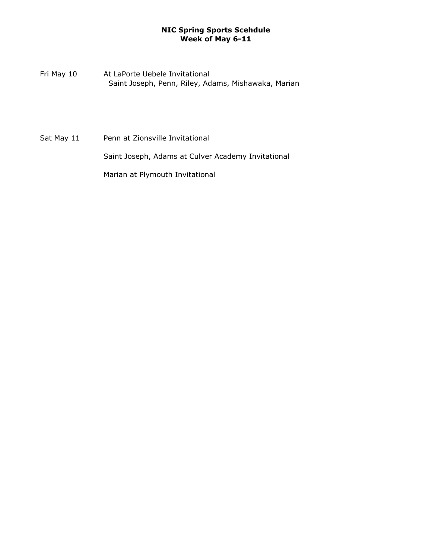Fri May 10 At LaPorte Uebele Invitational Saint Joseph, Penn, Riley, Adams, Mishawaka, Marian

Sat May 11 Penn at Zionsville Invitational Saint Joseph, Adams at Culver Academy Invitational Marian at Plymouth Invitational